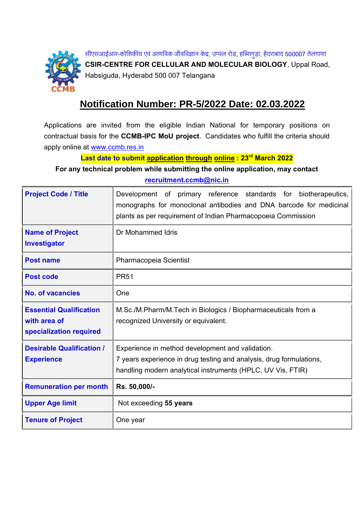

सीएसआईआर-कोशिकीय एवं आणविक जीवविज्ञान केंद्र, उप्पल रोड, हब्सिगुड़ा, हैदराबाद 500007 तेलंगाणा **CSIR-CENTRE FOR CELLULAR AND MOLECULAR BIOLOGY**, Uppal Road, Habsiguda, Hyderabd 500 007 Telangana

## **Notification Number: PR-5/2022 Date: 02.03.2022**

Applications are invited from the eligible Indian National for temporary positions on contractual basis for the **CCMB-IPC MoU project**. Candidates who fulfill the criteria should apply online at [www.ccmb.res.in](http://www.ccmb.res.in/)

**Last date to submit application through online: 23 rd March 2022**

**For any technical problem while submitting the online application, may contact [recruitment.ccmb@nic.in](mailto:recruitment.ccmb@nic.in)**

| <b>Project Code / Title</b>                                               | Development of primary reference standards for biotherapeutics,<br>monographs for monoclonal antibodies and DNA barcode for medicinal<br>plants as per requirement of Indian Pharmacopoeia Commission |
|---------------------------------------------------------------------------|-------------------------------------------------------------------------------------------------------------------------------------------------------------------------------------------------------|
| <b>Name of Project</b><br>Investigator                                    | Dr Mohammed Idris                                                                                                                                                                                     |
| <b>Post name</b>                                                          | Pharmacopeia Scientist                                                                                                                                                                                |
| <b>Post code</b>                                                          | <b>PR51</b>                                                                                                                                                                                           |
| <b>No. of vacancies</b>                                                   | One                                                                                                                                                                                                   |
| <b>Essential Qualification</b><br>with area of<br>specialization required | M.Sc./M.Pharm/M.Tech in Biologics / Biopharmaceuticals from a<br>recognized University or equivalent.                                                                                                 |
| <b>Desirable Qualification /</b><br><b>Experience</b>                     | Experience in method development and validation.<br>7 years experience in drug testing and analysis, drug formulations,<br>handling modern analytical instruments (HPLC, UV Vis, FTIR)                |
| <b>Remuneration per month</b>                                             | Rs. 50,000/-                                                                                                                                                                                          |
| <b>Upper Age limit</b>                                                    | Not exceeding 55 years                                                                                                                                                                                |
| <b>Tenure of Project</b>                                                  | One year                                                                                                                                                                                              |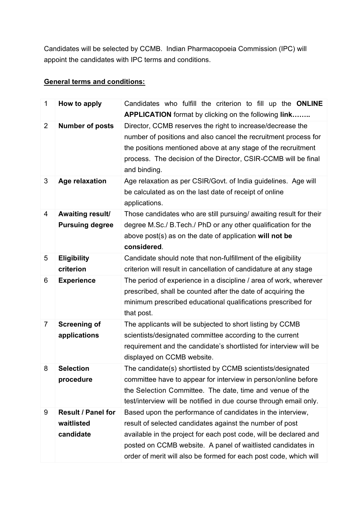Candidates will be selected by CCMB. Indian Pharmacopoeia Commission (IPC) will appoint the candidates with IPC terms and conditions.

## **General terms and conditions:**

| 1              | How to apply                                  | Candidates who fulfill the criterion to fill up the ONLINE<br><b>APPLICATION</b> format by clicking on the following <b>link</b>                                                                                                                                                                                                |
|----------------|-----------------------------------------------|---------------------------------------------------------------------------------------------------------------------------------------------------------------------------------------------------------------------------------------------------------------------------------------------------------------------------------|
| $\overline{2}$ | <b>Number of posts</b>                        | Director, CCMB reserves the right to increase/decrease the<br>number of positions and also cancel the recruitment process for<br>the positions mentioned above at any stage of the recruitment<br>process. The decision of the Director, CSIR-CCMB will be final<br>and binding.                                                |
| 3              | Age relaxation                                | Age relaxation as per CSIR/Govt. of India guidelines. Age will<br>be calculated as on the last date of receipt of online<br>applications.                                                                                                                                                                                       |
| 4              | Awaiting result/<br><b>Pursuing degree</b>    | Those candidates who are still pursuing/ awaiting result for their<br>degree M.Sc./ B.Tech./ PhD or any other qualification for the<br>above post(s) as on the date of application will not be<br>considered.                                                                                                                   |
| 5              | <b>Eligibility</b><br>criterion               | Candidate should note that non-fulfillment of the eligibility<br>criterion will result in cancellation of candidature at any stage                                                                                                                                                                                              |
| 6              | <b>Experience</b>                             | The period of experience in a discipline / area of work, wherever<br>prescribed, shall be counted after the date of acquiring the<br>minimum prescribed educational qualifications prescribed for<br>that post.                                                                                                                 |
| $\overline{7}$ | <b>Screening of</b><br>applications           | The applicants will be subjected to short listing by CCMB<br>scientists/designated committee according to the current<br>requirement and the candidate's shortlisted for interview will be<br>displayed on CCMB website.                                                                                                        |
| 8              | <b>Selection</b><br>procedure                 | The candidate(s) shortlisted by CCMB scientists/designated<br>committee have to appear for interview in person/online before<br>the Selection Committee. The date, time and venue of the<br>test/interview will be notified in due course through email only.                                                                   |
| 9              | Result / Panel for<br>waitlisted<br>candidate | Based upon the performance of candidates in the interview,<br>result of selected candidates against the number of post<br>available in the project for each post code, will be declared and<br>posted on CCMB website. A panel of waitlisted candidates in<br>order of merit will also be formed for each post code, which will |